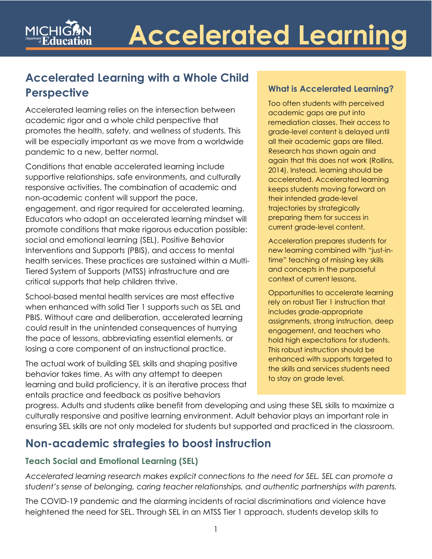# **Accelerated Learning with a Whole Child Perspective**

 academic rigor and a whole child perspective that will be especially important as we move from a worldwide pandemic to a new, better normal. Accelerated learning relies on the intersection between promotes the health, safety, and wellness of students. This

 supportive relationships, safe environments, and culturally responsive activities. The combination of academic and promote conditions that make rigorous education possible: Interventions and Supports (PBIS), and access to mental Conditions that enable accelerated learning include non-academic content will support the pace, engagement, and rigor required for accelerated learning. Educators who adopt an accelerated learning mindset will social and emotional learning (SEL), Positive Behavior health services. These practices are sustained within a Multi-Tiered System of Supports (MTSS) infrastructure and are critical supports that help children thrive.

 losing a core component of an instructional practice. School-based mental health services are most effective when enhanced with solid Tier 1 supports such as SEL and PBIS. Without care and deliberation, accelerated learning could result in the unintended consequences of hurrying the pace of lessons, abbreviating essential elements, or

 behavior takes time. As with any attempt to deepen The actual work of building SEL skills and shaping positive learning and build proficiency, it is an iterative process that entails practice and feedback as positive behaviors

## **What is Accelerated Learning?**

all their academic gaps are filled. keeps students moving forward on Too often students with perceived academic gaps are put into remediation classes. Their access to grade-level content is delayed until Research has shown again and again that this does not work (Rollins, 2014). Instead, learning should be accelerated. Accelerated learning their intended grade-level trajectories by strategically preparing them for success in current grade-level content.

Acceleration prepares students for new learning combined with "just-intime" teaching of missing key skills and concepts in the purposeful context of current lessons.

 This robust instruction should be Opportunities to accelerate learning rely on robust Tier 1 instruction that includes grade-appropriate assignments, strong instruction, deep engagement, and teachers who hold high expectations for students. enhanced with supports targeted to the skills and services students need to stay on grade level.

 ensuring SEL skills are not only modeled for students but supported and practiced in the classroom. progress. Adults and students alike benefit from developing and using these SEL skills to maximize a culturally responsive and positive learning environment. Adult behavior plays an important role in

# **Non-academic strategies to boost instruction**

# **Teach Social and Emotional Learning (SEL)**

 *Accelerated learning research makes explicit connections to the need for SEL. SEL can promote a student's sense of belonging, caring teacher relationships, and authentic partnerships with parents.* 

 The COVID-19 pandemic and the alarming incidents of racial discriminations and violence have heightened the need for SEL. Through SEL in an MTSS Tier 1 approach, students develop skills to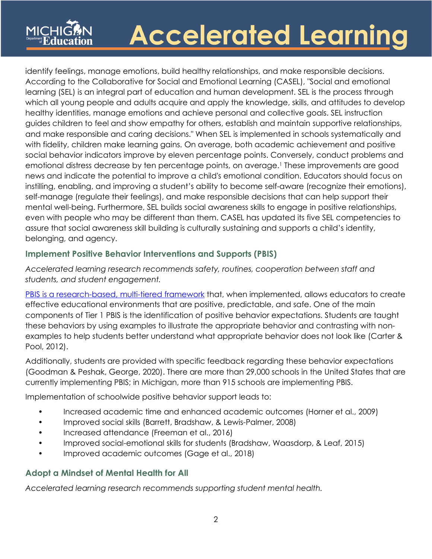which all young people and adults acquire and apply the knowledge, skills, and attitudes to develop guides children to feel and show empathy for others, establish and maintain supportive relationships, and make responsible and caring decisions." When SEL is implemented in schools systematically and with fidelity, children make learning gains. On average, both academic achievement and positive social behavior indicators improve by eleven percentage points. Conversely, conduct problems and emotional distress decrease by ten percentage points, on average.1 These improvements are good news and indicate the potential to improve a child's emotional condition. Educators should focus on instilling, enabling, and improving a student's ability to become self-aware (recognize their emotions), self-manage (regulate their feelings), and make responsible decisions that can help support their even with people who may be different than them. CASEL has updated its five SEL competencies to identify feelings, manage emotions, build healthy relationships, and make responsible decisions. According to the Collaborative for Social and Emotional Learning (CASEL), "Social and emotional learning (SEL) is an integral part of education and human development. SEL is the process through healthy identities, manage emotions and achieve personal and collective goals. SEL instruction mental well-being. Furthermore, SEL builds social awareness skills to engage in positive relationships, assure that social awareness skill building is culturally sustaining and supports a child's identity, belonging, and agency.

### **Implement Positive Behavior Interventions and Supports (PBIS)**

 *Accelerated learning research recommends safety, routines, cooperation between staff and students, and student engagement.* 

 examples to help students better understand what appropriate behavior does not look like (Carter & [PBIS is a research-based, multi-tiered framework](https://www.pbis.org/) that, when implemented, allows educators to create effective educational environments that are positive, predictable, and safe. One of the main components of Tier 1 PBIS is the identification of positive behavior expectations. Students are taught these behaviors by using examples to illustrate the appropriate behavior and contrasting with non-Pool, 2012).

 Additionally, students are provided with specific feedback regarding these behavior expectations (Goodman & Peshak, George, 2020). There are more than 29,000 schools in the United States that are currently implementing PBIS; in Michigan, more than 915 schools are implementing PBIS.

Implementation of schoolwide positive behavior support leads to:

- Increased academic time and enhanced academic outcomes (Horner et al., 2009)
- Improved social skills (Barrett, Bradshaw, & Lewis-Palmer, 2008)
- Increased attendance (Freeman et al., 2016)
- Improved social-emotional skills for students (Bradshaw, Waasdorp, & Leaf, 2015)
- Improved academic outcomes (Gage et al., 2018)

#### **Adopt a Mindset of Mental Health for All**

 *Accelerated learning research recommends supporting student mental health.*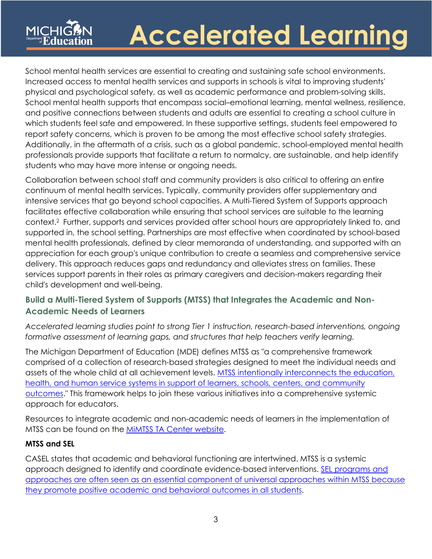School mental health services are essential to creating and sustaining safe school environments. Increased access to mental health services and supports in schools is vital to improving students' and positive connections between students and adults are essential to creating a school culture in physical and psychological safety, as well as academic performance and problem-solving skills. School mental health supports that encompass social–emotional learning, mental wellness, resilience, which students feel safe and empowered. In these supportive settings, students feel empowered to report safety concerns, which is proven to be among the most effective school safety strategies. Additionally, in the aftermath of a crisis, such as a global pandemic, school-employed mental health professionals provide supports that facilitate a return to normalcy, are sustainable, and help identify students who may have more intense or ongoing needs.

 Collaboration between school staff and community providers is also critical to offering an entire intensive services that go beyond school capacities. A Multi-Tiered System of Supports approach context.2 Further, supports and services provided after school hours are appropriately linked to, and mental health professionals, defined by clear memoranda of understanding, and supported with an delivery. This approach reduces gaps and redundancy and alleviates stress on families. These services support parents in their roles as primary caregivers and decision-makers regarding their continuum of mental health services. Typically, community providers offer supplementary and facilitates effective collaboration while ensuring that school services are suitable to the learning supported in, the school setting. Partnerships are most effective when coordinated by school-based appreciation for each group's unique contribution to create a seamless and comprehensive service child's development and well-being.

## **Build a Multi-Tiered System of Supports (MTSS) that Integrates the Academic and Non-Academic Needs of Learners**

*Accelerated learning studies point to strong Tier 1 instruction, research-based interventions, ongoing*  formative assessment of learning gaps, and structures that help teachers verify learning.

 The Michigan Department of Education (MDE) defines MTSS as "a comprehensive framework comprised of a collection of research-based strategies designed to meet the individual needs and assets of the whole child at all achievement levels. MTSS intentionally interconnects the education, [health, and human service systems in support of learners, schools, centers, and community](https://www.michigan.gov/documents/mde/MDE_MTSS_Practice_Profile_5.0July2020_ADA_700696_7.pdf)  [outcomes.](https://www.michigan.gov/documents/mde/MDE_MTSS_Practice_Profile_5.0July2020_ADA_700696_7.pdf)" This framework helps to join these various initiatives into a comprehensive systemic approach for educators.

 Resources to integrate academic and non-academic needs of learners in the implementation of MTSS can be found on the <u>MiMTSS TA Center website</u>.

#### **MTSS and SEL**

 CASEL states that academic and behavioral functioning are intertwined. MTSS is a systemic [they promote positive academic and behavioral outcomes in all students.](https://casel.org/sp_faq/multitiered-systems-of-support/)<br>3 approach designed to identify and coordinate evidence-based interventions. [SEL programs and](https://casel.org/sp_faq/multitiered-systems-of-support/)  [approaches are often seen as an essential component of universal approaches within MTSS because](https://casel.org/sp_faq/multitiered-systems-of-support/)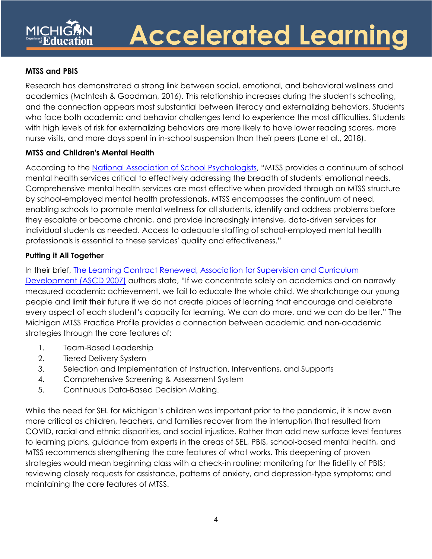### **MTSS and PBIS**

 Research has demonstrated a strong link between social, emotional, and behavioral wellness and academics (McIntosh & Goodman, 2016). This relationship increases during the student's schooling, nurse visits, and more days spent in in-school suspension than their peers (Lane et al., 2018). and the connection appears most substantial between literacy and externalizing behaviors. Students who face both academic and behavior challenges tend to experience the most difficulties. Students with high levels of risk for externalizing behaviors are more likely to have lower reading scores, more

### **MTSS and Children's Mental Health**

 mental health services critical to effectively addressing the breadth of students' emotional needs. by school-employed mental health professionals. MTSS encompasses the continuum of need, enabling schools to promote mental wellness for all students, identify and address problems before According to the [National Association of School Psychologists,](https://www.nasponline.org/resources-and-publications/resources-and-podcasts/mental-health/school-psychology-and-mental-health/school-based-mental-health-services) "MTSS provides a continuum of school Comprehensive mental health services are most effective when provided through an MTSS structure they escalate or become chronic, and provide increasingly intensive, data-driven services for individual students as needed. Access to adequate staffing of school-employed mental health professionals is essential to these services' quality and effectiveness."

### **Putting it All Together**

In their brief, [The L](http://files.ascd.org/pdfs/programs/WholeChildNetwork/2020-whole-child-network-learning-compact-renewed.pdf)earning Contract Renewed, Association for Supervision and Curriculum

 Development (ASCD 2007) authors state, "If we concentrate solely on academics and on narrowly measured academic achievement, we fail to educate the whole child. We shortchange our young people and limit their future if we do not create places of learning that encourage and celebrate every aspect of each student's capacity for learning. We can do more, and we can do better." The Michigan MTSS Practice Profile provides a connection between academic and non-academic strategies through the core features of:

- 1. Team-Based Leadership
- 2. Tiered Delivery System
- 3. Selection and Implementation of Instruction, Interventions, and Supports
- 4. Comprehensive Screening & Assessment System
- 5. Continuous Data-Based Decision Making.

 While the need for SEL for Michigan's children was important prior to the pandemic, it is now even more critical as children, teachers, and families recover from the interruption that resulted from COVID, racial and ethnic disparities, and social injustice. Rather than add new surface level features to learning plans, guidance from experts in the areas of SEL, PBIS, school-based mental health, and MTSS recommends strengthening the core features of what works. This deepening of proven strategies would mean beginning class with a check-in routine; monitoring for the fidelity of PBIS; reviewing closely requests for assistance, patterns of anxiety, and depression-type symptoms; and maintaining the core features of MTSS.